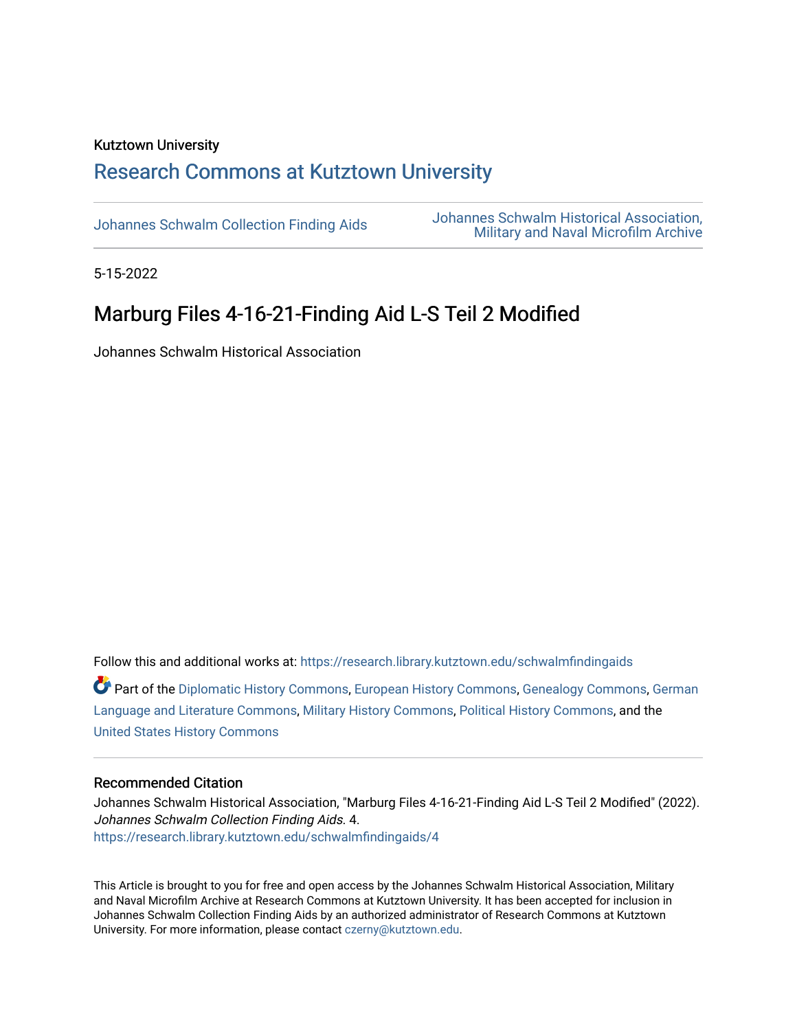#### Kutztown University

## [Research Commons at Kutztown University](https://research.library.kutztown.edu/)

[Johannes Schwalm Collection Finding Aids](https://research.library.kutztown.edu/schwalmfindingaids) [Johannes Schwalm Historical Association,](https://research.library.kutztown.edu/schwalm)  [Military and Naval Microfilm Archive](https://research.library.kutztown.edu/schwalm) 

5-15-2022

# Marburg Files 4-16-21-Finding Aid L-S Teil 2 Modified

Johannes Schwalm Historical Association

Follow this and additional works at: [https://research.library.kutztown.edu/schwalmfindingaids](https://research.library.kutztown.edu/schwalmfindingaids?utm_source=research.library.kutztown.edu%2Fschwalmfindingaids%2F4&utm_medium=PDF&utm_campaign=PDFCoverPages)  Part of the [Diplomatic History Commons,](http://network.bepress.com/hgg/discipline/497?utm_source=research.library.kutztown.edu%2Fschwalmfindingaids%2F4&utm_medium=PDF&utm_campaign=PDFCoverPages) [European History Commons](http://network.bepress.com/hgg/discipline/492?utm_source=research.library.kutztown.edu%2Fschwalmfindingaids%2F4&utm_medium=PDF&utm_campaign=PDFCoverPages), [Genealogy Commons](http://network.bepress.com/hgg/discipline/1342?utm_source=research.library.kutztown.edu%2Fschwalmfindingaids%2F4&utm_medium=PDF&utm_campaign=PDFCoverPages), [German](http://network.bepress.com/hgg/discipline/467?utm_source=research.library.kutztown.edu%2Fschwalmfindingaids%2F4&utm_medium=PDF&utm_campaign=PDFCoverPages) 

[Language and Literature Commons](http://network.bepress.com/hgg/discipline/467?utm_source=research.library.kutztown.edu%2Fschwalmfindingaids%2F4&utm_medium=PDF&utm_campaign=PDFCoverPages), [Military History Commons,](http://network.bepress.com/hgg/discipline/504?utm_source=research.library.kutztown.edu%2Fschwalmfindingaids%2F4&utm_medium=PDF&utm_campaign=PDFCoverPages) [Political History Commons](http://network.bepress.com/hgg/discipline/505?utm_source=research.library.kutztown.edu%2Fschwalmfindingaids%2F4&utm_medium=PDF&utm_campaign=PDFCoverPages), and the [United States History Commons](http://network.bepress.com/hgg/discipline/495?utm_source=research.library.kutztown.edu%2Fschwalmfindingaids%2F4&utm_medium=PDF&utm_campaign=PDFCoverPages)

#### Recommended Citation

Johannes Schwalm Historical Association, "Marburg Files 4-16-21-Finding Aid L-S Teil 2 Modified" (2022). Johannes Schwalm Collection Finding Aids. 4. [https://research.library.kutztown.edu/schwalmfindingaids/4](https://research.library.kutztown.edu/schwalmfindingaids/4?utm_source=research.library.kutztown.edu%2Fschwalmfindingaids%2F4&utm_medium=PDF&utm_campaign=PDFCoverPages) 

This Article is brought to you for free and open access by the Johannes Schwalm Historical Association, Military and Naval Microfilm Archive at Research Commons at Kutztown University. It has been accepted for inclusion in Johannes Schwalm Collection Finding Aids by an authorized administrator of Research Commons at Kutztown University. For more information, please contact [czerny@kutztown.edu](mailto:czerny@kutztown.edu).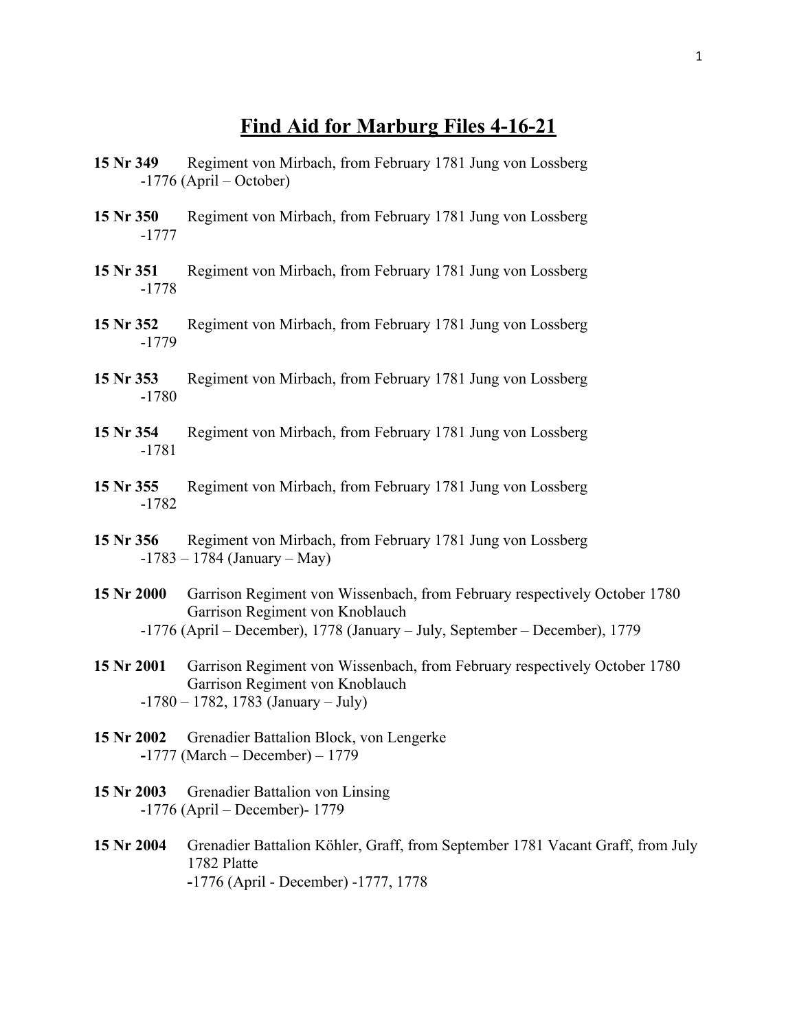### **Find Aid for Marburg Files 4-16-21**

- **15 Nr 349** Regiment von Mirbach, from February 1781 Jung von Lossberg -1776 (April – October)
- **15 Nr 350** Regiment von Mirbach, from February 1781 Jung von Lossberg -1777
- **15 Nr 351** Regiment von Mirbach, from February 1781 Jung von Lossberg -1778
- **15 Nr 352** Regiment von Mirbach, from February 1781 Jung von Lossberg -1779
- **15 Nr 353** Regiment von Mirbach, from February 1781 Jung von Lossberg -1780
- **15 Nr 354** Regiment von Mirbach, from February 1781 Jung von Lossberg -1781
- **15 Nr 355** Regiment von Mirbach, from February 1781 Jung von Lossberg -1782
- **15 Nr 356** Regiment von Mirbach, from February 1781 Jung von Lossberg  $-1783 - 1784$  (January – May)
- **15 Nr 2000** Garrison Regiment von Wissenbach, from February respectively October 1780 Garrison Regiment von Knoblauch -1776 (April – December), 1778 (January – July, September – December), 1779
- **15 Nr 2001** Garrison Regiment von Wissenbach, from February respectively October 1780 Garrison Regiment von Knoblauch  $-1780 - 1782$ , 1783 (January – July)
- **15 Nr 2002** Grenadier Battalion Block, von Lengerke **-**1777 (March – December) – 1779
- **15 Nr 2003** Grenadier Battalion von Linsing -1776 (April – December)- 1779
- **15 Nr 2004** Grenadier Battalion Köhler, Graff, from September 1781 Vacant Graff, from July 1782 Platte **-**1776 (April - December) -1777, 1778